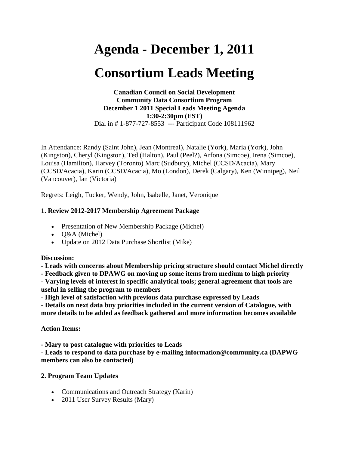# **Agenda - December 1, 2011**

# **Consortium Leads Meeting**

#### **Canadian Council on Social Development Community Data Consortium Program December 1 2011 Special Leads Meeting Agenda 1:30-2:30pm (EST)** Dial in # 1-877-727-8553 --- Participant Code 108111962

In Attendance: Randy (Saint John), Jean (Montreal), Natalie (York), Maria (York), John (Kingston), Cheryl (Kingston), Ted (Halton), Paul (Peel?), Arfona (Simcoe), Irena (Simcoe), Louisa (Hamilton), Harvey (Toronto) Marc (Sudbury), Michel (CCSD/Acacia), Mary (CCSD/Acacia), Karin (CCSD/Acacia), Mo (London), Derek (Calgary), Ken (Winnipeg), Neil (Vancouver), Ian (Victoria)

Regrets: Leigh, Tucker, Wendy, John, Isabelle, Janet, Veronique

# **1. Review 2012-2017 Membership Agreement Package**

- Presentation of New Membership Package (Michel)
- Q&A (Michel)
- Update on 2012 Data Purchase Shortlist (Mike)

## **Discussion:**

**- Leads with concerns about Membership pricing structure should contact Michel directly**

**- Feedback given to DPAWG on moving up some items from medium to high priority - Varying levels of interest in specific analytical tools; general agreement that tools are useful in selling the program to members**

**- High level of satisfaction with previous data purchase expressed by Leads**

**- Details on next data buy priorities included in the current version of Catalogue, with more details to be added as feedback gathered and more information becomes available**

# **Action Items:**

**- Mary to post catalogue with priorities to Leads**

**- Leads to respond to data purchase by e-mailing information@community.ca (DAPWG members can also be contacted)**

## **2. Program Team Updates**

- Communications and Outreach Strategy (Karin)
- 2011 User Survey Results (Mary)